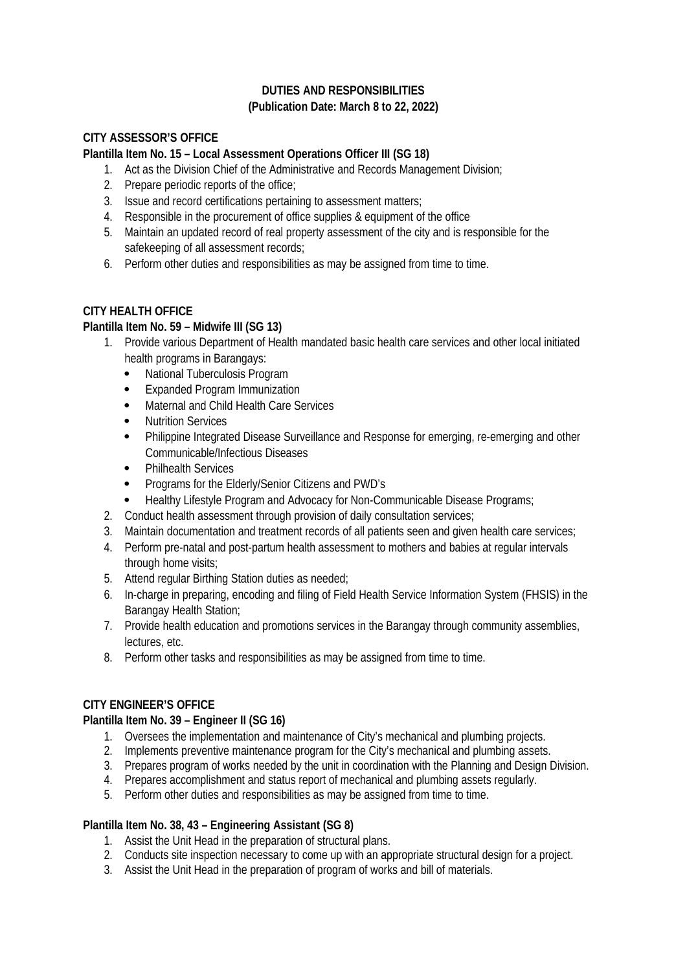# **DUTIES AND RESPONSIBILITIES (Publication Date: March 8 to 22, 2022)**

## **CITY ASSESSOR'S OFFICE**

#### **Plantilla Item No. 15 – Local Assessment Operations Officer III (SG 18)**

- 1. Act as the Division Chief of the Administrative and Records Management Division;
- 2. Prepare periodic reports of the office;
- 3. Issue and record certifications pertaining to assessment matters;
- 4. Responsible in the procurement of office supplies & equipment of the office
- 5. Maintain an updated record of real property assessment of the city and is responsible for the safekeeping of all assessment records;
- 6. Perform other duties and responsibilities as may be assigned from time to time.

#### **CITY HEALTH OFFICE**

## **Plantilla Item No. 59 – Midwife III (SG 13)**

- 1. Provide various Department of Health mandated basic health care services and other local initiated health programs in Barangays:
	- National Tuberculosis Program
	- Expanded Program Immunization
	- Maternal and Child Health Care Services
	- Nutrition Services
	- Philippine Integrated Disease Surveillance and Response for emerging, re-emerging and other Communicable/Infectious Diseases
	- Philhealth Services
	- Programs for the Elderly/Senior Citizens and PWD's
	- Healthy Lifestyle Program and Advocacy for Non-Communicable Disease Programs;
- 2. Conduct health assessment through provision of daily consultation services;
- 3. Maintain documentation and treatment records of all patients seen and given health care services;
- 4. Perform pre-natal and post-partum health assessment to mothers and babies at regular intervals through home visits:
- 5. Attend regular Birthing Station duties as needed;
- 6. In-charge in preparing, encoding and filing of Field Health Service Information System (FHSIS) in the Barangay Health Station;
- 7. Provide health education and promotions services in the Barangay through community assemblies, lectures, etc.
- 8. Perform other tasks and responsibilities as may be assigned from time to time.

#### **CITY ENGINEER'S OFFICE**

#### **Plantilla Item No. 39 – Engineer II (SG 16)**

- 1. Oversees the implementation and maintenance of City's mechanical and plumbing projects.
- 2. Implements preventive maintenance program for the City's mechanical and plumbing assets.
- 3. Prepares program of works needed by the unit in coordination with the Planning and Design Division.
- 4. Prepares accomplishment and status report of mechanical and plumbing assets regularly.
- 5. Perform other duties and responsibilities as may be assigned from time to time.

## **Plantilla Item No. 38, 43 – Engineering Assistant (SG 8)**

- 1. Assist the Unit Head in the preparation of structural plans.
- 2. Conducts site inspection necessary to come up with an appropriate structural design for a project.
- 3. Assist the Unit Head in the preparation of program of works and bill of materials.